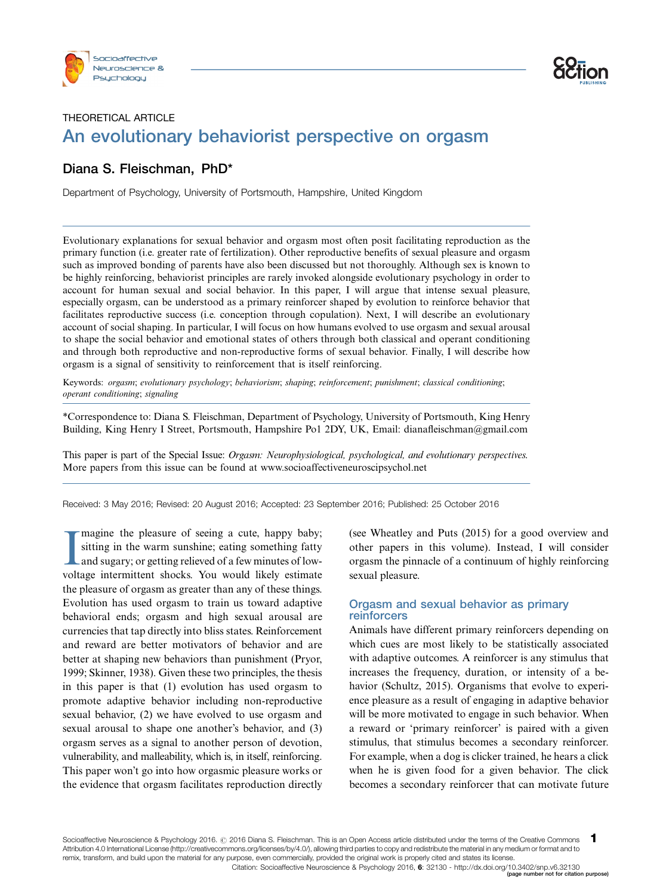



# THEORETICAL ARTICLE An evolutionary behaviorist perspective on orgasm **Example 2014**<br>The perspective on orgasm<br>The perspective on orgasm

# Diana S. Fleischman, PhD\*

Department of Psychology, University of Portsmouth, Hampshire, United Kingdom

Evolutionary explanations for sexual behavior and orgasm most often posit facilitating reproduction as the primary function (i.e. greater rate of fertilization). Other reproductive benefits of sexual pleasure and orgasm such as improved bonding of parents have also been discussed but not thoroughly. Although sex is known to be highly reinforcing, behaviorist principles are rarely invoked alongside evolutionary psychology in order to account for human sexual and social behavior. In this paper, I will argue that intense sexual pleasure, especially orgasm, can be understood as a primary reinforcer shaped by evolution to reinforce behavior that facilitates reproductive success (i.e. conception through copulation). Next, I will describe an evolutionary account of social shaping. In particular, I will focus on how humans evolved to use orgasm and sexual arousal to shape the social behavior and emotional states of others through both classical and operant conditioning and through both reproductive and non-reproductive forms of sexual behavior. Finally, I will describe how orgasm is a signal of sensitivity to reinforcement that is itself reinforcing.

Keywords: orgasm; evolutionary psychology; behaviorism; shaping; reinforcement; punishment; classical conditioning; operant conditioning; signaling

\*Correspondence to: Diana S. Fleischman, Department of Psychology, University of Portsmouth, King Henry Building, King Henry I Street, Portsmouth, Hampshire Po1 2DY, UK, Email: dianafleischman@gmail.com

This paper is part of the Special Issue: Orgasm: Neurophysiological, psychological, and evolutionary perspectives. More papers from this issue can be found at [www.socioaffectiveneuroscipsychol.net](http://www.socioaffectiveneuroscipsychol.net/index.php/snp/issue/view/1749#Orgasm:%21Neurophysiological%21,psychological,%21and%21evolutionary%21perspectives)

Received: 3 May 2016; Revised: 20 August 2016; Accepted: 23 September 2016; Published: 25 October 2016

Imagine the pleasure of seeing a cute, happy baby;<br>sitting in the warm sunshine; eating something fatty<br>and sugary; or getting relieved of a few minutes of low-<br>voltage intermittent shocks. You would likely estimate magine the pleasure of seeing a cute, happy baby; sitting in the warm sunshine; eating something fatty and sugary; or getting relieved of a few minutes of lowthe pleasure of orgasm as greater than any of these things. Evolution has used orgasm to train us toward adaptive behavioral ends; orgasm and high sexual arousal are currencies that tap directly into bliss states. Reinforcement and reward are better motivators of behavior and are better at shaping new behaviors than punishment (Pryor, 1999; Skinner, 1938). Given these two principles, the thesis in this paper is that (1) evolution has used orgasm to promote adaptive behavior including non-reproductive sexual behavior, (2) we have evolved to use orgasm and sexual arousal to shape one another's behavior, and (3) orgasm serves as a signal to another person of devotion, vulnerability, and malleability, which is, in itself, reinforcing. This paper won't go into how orgasmic pleasure works or the evidence that orgasm facilitates reproduction directly

(see Wheatley and Puts (2015) for a good overview and other papers in this volume). Instead, I will consider orgasm the pinnacle of a continuum of highly reinforcing sexual pleasure.

# Orgasm and sexual behavior as primary reinforcers

Animals have different primary reinforcers depending on which cues are most likely to be statistically associated with adaptive outcomes. A reinforcer is any stimulus that increases the frequency, duration, or intensity of a behavior (Schultz, 2015). Organisms that evolve to experience pleasure as a result of engaging in adaptive behavior will be more motivated to engage in such behavior. When a reward or 'primary reinforcer' is paired with a given stimulus, that stimulus becomes a secondary reinforcer. For example, when a dog is clicker trained, he hears a click when he is given food for a given behavior. The click becomes a secondary reinforcer that can motivate future

Socioaffective Neuroscience & Psychology 2016. @ 2016 Diana S. Fleischman. This is an Open Access article distributed under the terms of the Creative Commons Attribution 4.0 International License (<http://creativecommons.org/licenses/by/4.0/>), allowing third parties to copy and redistribute the material in any medium or format and to remix, transform, and build upon the material for any purpose, even commercially, provided the original work is properly cited and states its license. 1 [Citation: Socioaffective Neuroscience & Psychology 2016,](http://www.socioaffectiveneuroscipsychol.net/index.php/snp/article/view/32130) 6: 32130 -<http://dx.doi.org/10.3402/snp.v6.32130> (page number not for citation purpose)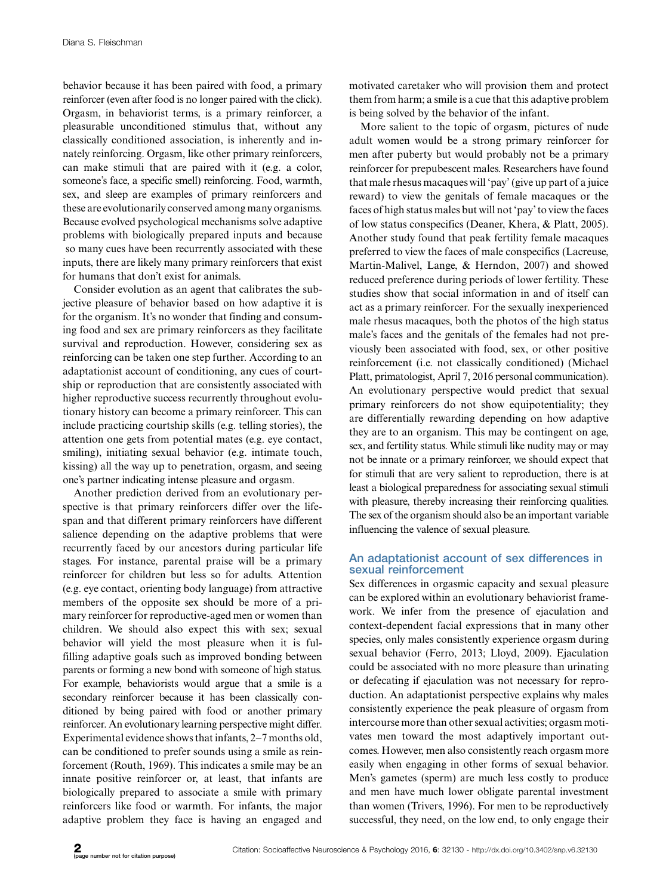behavior because it has been paired with food, a primary reinforcer (even after food is no longer paired with the click). Orgasm, in behaviorist terms, is a primary reinforcer, a pleasurable unconditioned stimulus that, without any classically conditioned association, is inherently and innately reinforcing. Orgasm, like other primary reinforcers, can make stimuli that are paired with it (e.g. a color, someone's face, a specific smell) reinforcing. Food, warmth, sex, and sleep are examples of primary reinforcers and these are evolutionarily conserved among many organisms. Because evolved psychological mechanisms solve adaptive problems with biologically prepared inputs and because so many cues have been recurrently associated with these inputs, there are likely many primary reinforcers that exist for humans that don't exist for animals.

Consider evolution as an agent that calibrates the subjective pleasure of behavior based on how adaptive it is for the organism. It's no wonder that finding and consuming food and sex are primary reinforcers as they facilitate survival and reproduction. However, considering sex as reinforcing can be taken one step further. According to an adaptationist account of conditioning, any cues of courtship or reproduction that are consistently associated with higher reproductive success recurrently throughout evolutionary history can become a primary reinforcer. This can include practicing courtship skills (e.g. telling stories), the attention one gets from potential mates (e.g. eye contact, smiling), initiating sexual behavior (e.g. intimate touch, kissing) all the way up to penetration, orgasm, and seeing one's partner indicating intense pleasure and orgasm.

Another prediction derived from an evolutionary perspective is that primary reinforcers differ over the lifespan and that different primary reinforcers have different salience depending on the adaptive problems that were recurrently faced by our ancestors during particular life stages. For instance, parental praise will be a primary reinforcer for children but less so for adults. Attention (e.g. eye contact, orienting body language) from attractive members of the opposite sex should be more of a primary reinforcer for reproductive-aged men or women than children. We should also expect this with sex; sexual behavior will yield the most pleasure when it is fulfilling adaptive goals such as improved bonding between parents or forming a new bond with someone of high status. For example, behaviorists would argue that a smile is a secondary reinforcer because it has been classically conditioned by being paired with food or another primary reinforcer. An evolutionary learning perspective might differ. Experimental evidence shows that infants, 2-7 months old, can be conditioned to prefer sounds using a smile as reinforcement (Routh, 1969). This indicates a smile may be an innate positive reinforcer or, at least, that infants are biologically prepared to associate a smile with primary reinforcers like food or warmth. For infants, the major adaptive problem they face is having an engaged and

motivated caretaker who will provision them and protect them from harm; a smile is a cue that this adaptive problem is being solved by the behavior of the infant.

More salient to the topic of orgasm, pictures of nude adult women would be a strong primary reinforcer for men after puberty but would probably not be a primary reinforcer for prepubescent males. Researchers have found that male rhesus macaques will 'pay' (give up part of a juice reward) to view the genitals of female macaques or the faces of high status males but will not 'pay' to view the faces of low status conspecifics (Deaner, Khera, & Platt, 2005). Another study found that peak fertility female macaques preferred to view the faces of male conspecifics (Lacreuse, Martin-Malivel, Lange, & Herndon, 2007) and showed reduced preference during periods of lower fertility. These studies show that social information in and of itself can act as a primary reinforcer. For the sexually inexperienced male rhesus macaques, both the photos of the high status male's faces and the genitals of the females had not previously been associated with food, sex, or other positive reinforcement (i.e. not classically conditioned) (Michael Platt, primatologist, April 7, 2016 personal communication). An evolutionary perspective would predict that sexual primary reinforcers do not show equipotentiality; they are differentially rewarding depending on how adaptive they are to an organism. This may be contingent on age, sex, and fertility status. While stimuli like nudity may or may not be innate or a primary reinforcer, we should expect that for stimuli that are very salient to reproduction, there is at least a biological preparedness for associating sexual stimuli with pleasure, thereby increasing their reinforcing qualities. The sex of the organism should also be an important variable influencing the valence of sexual pleasure.

# An adaptationist account of sex differences in sexual reinforcement

Sex differences in orgasmic capacity and sexual pleasure can be explored within an evolutionary behaviorist framework. We infer from the presence of ejaculation and context-dependent facial expressions that in many other species, only males consistently experience orgasm during sexual behavior (Ferro, 2013; Lloyd, 2009). Ejaculation could be associated with no more pleasure than urinating or defecating if ejaculation was not necessary for reproduction. An adaptationist perspective explains why males consistently experience the peak pleasure of orgasm from intercourse more than other sexual activities; orgasm motivates men toward the most adaptively important outcomes. However, men also consistently reach orgasm more easily when engaging in other forms of sexual behavior. Men's gametes (sperm) are much less costly to produce and men have much lower obligate parental investment than women (Trivers, 1996). For men to be reproductively successful, they need, on the low end, to only engage their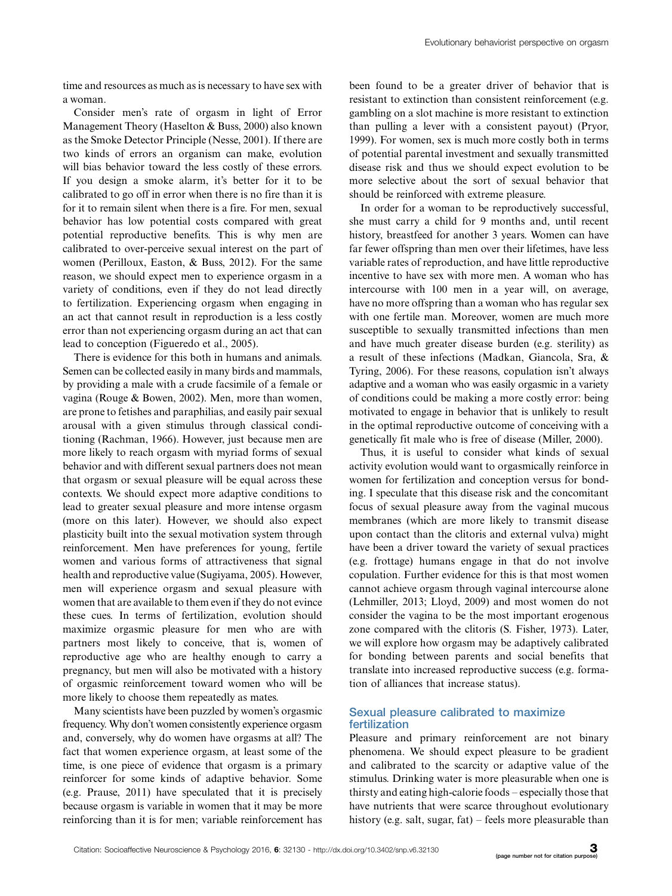time and resources as much as is necessary to have sex with a woman.

Consider men's rate of orgasm in light of Error Management Theory (Haselton & Buss, 2000) also known as the Smoke Detector Principle (Nesse, 2001). If there are two kinds of errors an organism can make, evolution will bias behavior toward the less costly of these errors. If you design a smoke alarm, it's better for it to be calibrated to go off in error when there is no fire than it is for it to remain silent when there is a fire. For men, sexual behavior has low potential costs compared with great potential reproductive benefits. This is why men are calibrated to over-perceive sexual interest on the part of women (Perilloux, Easton, & Buss, 2012). For the same reason, we should expect men to experience orgasm in a variety of conditions, even if they do not lead directly to fertilization. Experiencing orgasm when engaging in an act that cannot result in reproduction is a less costly error than not experiencing orgasm during an act that can lead to conception (Figueredo et al., 2005).

There is evidence for this both in humans and animals. Semen can be collected easily in many birds and mammals, by providing a male with a crude facsimile of a female or vagina (Rouge & Bowen, 2002). Men, more than women, are prone to fetishes and paraphilias, and easily pair sexual arousal with a given stimulus through classical conditioning (Rachman, 1966). However, just because men are more likely to reach orgasm with myriad forms of sexual behavior and with different sexual partners does not mean that orgasm or sexual pleasure will be equal across these contexts. We should expect more adaptive conditions to lead to greater sexual pleasure and more intense orgasm (more on this later). However, we should also expect plasticity built into the sexual motivation system through reinforcement. Men have preferences for young, fertile women and various forms of attractiveness that signal health and reproductive value (Sugiyama, 2005). However, men will experience orgasm and sexual pleasure with women that are available to them even if they do not evince these cues. In terms of fertilization, evolution should maximize orgasmic pleasure for men who are with partners most likely to conceive, that is, women of reproductive age who are healthy enough to carry a pregnancy, but men will also be motivated with a history of orgasmic reinforcement toward women who will be more likely to choose them repeatedly as mates.

Many scientists have been puzzled by women's orgasmic frequency. Why don't women consistently experience orgasm and, conversely, why do women have orgasms at all? The fact that women experience orgasm, at least some of the time, is one piece of evidence that orgasm is a primary reinforcer for some kinds of adaptive behavior. Some (e.g. Prause, 2011) have speculated that it is precisely because orgasm is variable in women that it may be more reinforcing than it is for men; variable reinforcement has

been found to be a greater driver of behavior that is resistant to extinction than consistent reinforcement (e.g. gambling on a slot machine is more resistant to extinction than pulling a lever with a consistent payout) (Pryor, 1999). For women, sex is much more costly both in terms of potential parental investment and sexually transmitted disease risk and thus we should expect evolution to be more selective about the sort of sexual behavior that should be reinforced with extreme pleasure.

In order for a woman to be reproductively successful, she must carry a child for 9 months and, until recent history, breastfeed for another 3 years. Women can have far fewer offspring than men over their lifetimes, have less variable rates of reproduction, and have little reproductive incentive to have sex with more men. A woman who has intercourse with 100 men in a year will, on average, have no more offspring than a woman who has regular sex with one fertile man. Moreover, women are much more susceptible to sexually transmitted infections than men and have much greater disease burden (e.g. sterility) as a result of these infections (Madkan, Giancola, Sra, & Tyring, 2006). For these reasons, copulation isn't always adaptive and a woman who was easily orgasmic in a variety of conditions could be making a more costly error: being motivated to engage in behavior that is unlikely to result in the optimal reproductive outcome of conceiving with a genetically fit male who is free of disease (Miller, 2000).

Thus, it is useful to consider what kinds of sexual activity evolution would want to orgasmically reinforce in women for fertilization and conception versus for bonding. I speculate that this disease risk and the concomitant focus of sexual pleasure away from the vaginal mucous membranes (which are more likely to transmit disease upon contact than the clitoris and external vulva) might have been a driver toward the variety of sexual practices (e.g. frottage) humans engage in that do not involve copulation. Further evidence for this is that most women cannot achieve orgasm through vaginal intercourse alone (Lehmiller, 2013; Lloyd, 2009) and most women do not consider the vagina to be the most important erogenous zone compared with the clitoris (S. Fisher, 1973). Later, we will explore how orgasm may be adaptively calibrated for bonding between parents and social benefits that translate into increased reproductive success (e.g. formation of alliances that increase status).

## Sexual pleasure calibrated to maximize fertilization

Pleasure and primary reinforcement are not binary phenomena. We should expect pleasure to be gradient and calibrated to the scarcity or adaptive value of the stimulus. Drinking water is more pleasurable when one is thirsty and eating high-calorie foods – especially those that have nutrients that were scarce throughout evolutionary history (e.g. salt, sugar, fat) – feels more pleasurable than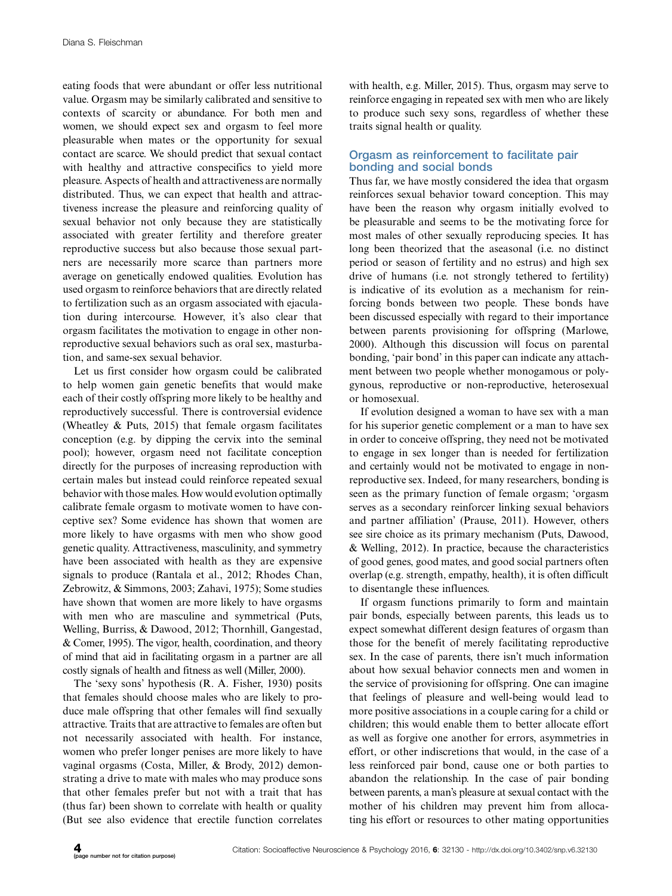eating foods that were abundant or offer less nutritional value. Orgasm may be similarly calibrated and sensitive to contexts of scarcity or abundance. For both men and women, we should expect sex and orgasm to feel more pleasurable when mates or the opportunity for sexual contact are scarce. We should predict that sexual contact with healthy and attractive conspecifics to yield more pleasure. Aspects of health and attractiveness are normally distributed. Thus, we can expect that health and attractiveness increase the pleasure and reinforcing quality of sexual behavior not only because they are statistically associated with greater fertility and therefore greater reproductive success but also because those sexual partners are necessarily more scarce than partners more average on genetically endowed qualities. Evolution has used orgasm to reinforce behaviors that are directly related to fertilization such as an orgasm associated with ejaculation during intercourse. However, it's also clear that orgasm facilitates the motivation to engage in other nonreproductive sexual behaviors such as oral sex, masturbation, and same-sex sexual behavior.

Let us first consider how orgasm could be calibrated to help women gain genetic benefits that would make each of their costly offspring more likely to be healthy and reproductively successful. There is controversial evidence (Wheatley & Puts, 2015) that female orgasm facilitates conception (e.g. by dipping the cervix into the seminal pool); however, orgasm need not facilitate conception directly for the purposes of increasing reproduction with certain males but instead could reinforce repeated sexual behavior with those males. How would evolution optimally calibrate female orgasm to motivate women to have conceptive sex? Some evidence has shown that women are more likely to have orgasms with men who show good genetic quality. Attractiveness, masculinity, and symmetry have been associated with health as they are expensive signals to produce (Rantala et al., 2012; Rhodes Chan, Zebrowitz, & Simmons, 2003; Zahavi, 1975); Some studies have shown that women are more likely to have orgasms with men who are masculine and symmetrical (Puts, Welling, Burriss, & Dawood, 2012; Thornhill, Gangestad, & Comer, 1995). The vigor, health, coordination, and theory of mind that aid in facilitating orgasm in a partner are all costly signals of health and fitness as well (Miller, 2000).

The 'sexy sons' hypothesis (R. A. Fisher, 1930) posits that females should choose males who are likely to produce male offspring that other females will find sexually attractive. Traits that are attractive to females are often but not necessarily associated with health. For instance, women who prefer longer penises are more likely to have vaginal orgasms (Costa, Miller, & Brody, 2012) demonstrating a drive to mate with males who may produce sons that other females prefer but not with a trait that has (thus far) been shown to correlate with health or quality (But see also evidence that erectile function correlates with health, e.g. Miller, 2015). Thus, orgasm may serve to reinforce engaging in repeated sex with men who are likely to produce such sexy sons, regardless of whether these traits signal health or quality.

# Orgasm as reinforcement to facilitate pair bonding and social bonds

Thus far, we have mostly considered the idea that orgasm reinforces sexual behavior toward conception. This may have been the reason why orgasm initially evolved to be pleasurable and seems to be the motivating force for most males of other sexually reproducing species. It has long been theorized that the aseasonal (i.e. no distinct period or season of fertility and no estrus) and high sex drive of humans (i.e. not strongly tethered to fertility) is indicative of its evolution as a mechanism for reinforcing bonds between two people. These bonds have been discussed especially with regard to their importance between parents provisioning for offspring (Marlowe, 2000). Although this discussion will focus on parental bonding, 'pair bond' in this paper can indicate any attachment between two people whether monogamous or polygynous, reproductive or non-reproductive, heterosexual or homosexual.

If evolution designed a woman to have sex with a man for his superior genetic complement or a man to have sex in order to conceive offspring, they need not be motivated to engage in sex longer than is needed for fertilization and certainly would not be motivated to engage in nonreproductive sex. Indeed, for many researchers, bonding is seen as the primary function of female orgasm; 'orgasm serves as a secondary reinforcer linking sexual behaviors and partner affiliation' (Prause, 2011). However, others see sire choice as its primary mechanism (Puts, Dawood, & Welling, 2012). In practice, because the characteristics of good genes, good mates, and good social partners often overlap (e.g. strength, empathy, health), it is often difficult to disentangle these influences.

If orgasm functions primarily to form and maintain pair bonds, especially between parents, this leads us to expect somewhat different design features of orgasm than those for the benefit of merely facilitating reproductive sex. In the case of parents, there isn't much information about how sexual behavior connects men and women in the service of provisioning for offspring. One can imagine that feelings of pleasure and well-being would lead to more positive associations in a couple caring for a child or children; this would enable them to better allocate effort as well as forgive one another for errors, asymmetries in effort, or other indiscretions that would, in the case of a less reinforced pair bond, cause one or both parties to abandon the relationship. In the case of pair bonding between parents, a man's pleasure at sexual contact with the mother of his children may prevent him from allocating his effort or resources to other mating opportunities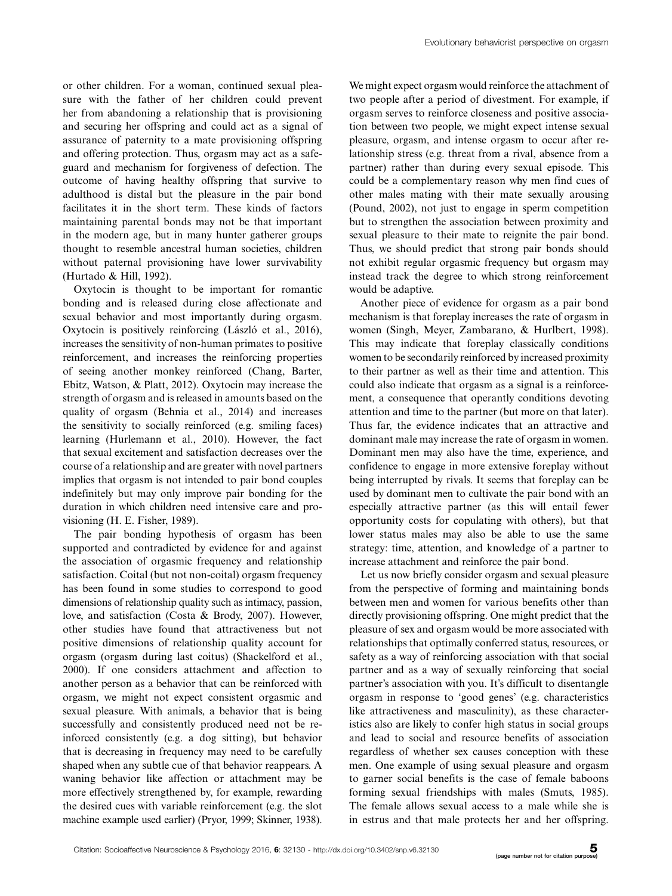or other children. For a woman, continued sexual pleasure with the father of her children could prevent her from abandoning a relationship that is provisioning and securing her offspring and could act as a signal of assurance of paternity to a mate provisioning offspring and offering protection. Thus, orgasm may act as a safeguard and mechanism for forgiveness of defection. The outcome of having healthy offspring that survive to adulthood is distal but the pleasure in the pair bond facilitates it in the short term. These kinds of factors maintaining parental bonds may not be that important in the modern age, but in many hunter gatherer groups thought to resemble ancestral human societies, children without paternal provisioning have lower survivability (Hurtado & Hill, 1992).

Oxytocin is thought to be important for romantic bonding and is released during close affectionate and sexual behavior and most importantly during orgasm. Oxytocin is positively reinforcing (László et al., 2016), increases the sensitivity of non-human primates to positive reinforcement, and increases the reinforcing properties of seeing another monkey reinforced (Chang, Barter, Ebitz, Watson, & Platt, 2012). Oxytocin may increase the strength of orgasm and is released in amounts based on the quality of orgasm (Behnia et al., 2014) and increases the sensitivity to socially reinforced (e.g. smiling faces) learning (Hurlemann et al., 2010). However, the fact that sexual excitement and satisfaction decreases over the course of a relationship and are greater with novel partners implies that orgasm is not intended to pair bond couples indefinitely but may only improve pair bonding for the duration in which children need intensive care and provisioning (H. E. Fisher, 1989).

The pair bonding hypothesis of orgasm has been supported and contradicted by evidence for and against the association of orgasmic frequency and relationship satisfaction. Coital (but not non-coital) orgasm frequency has been found in some studies to correspond to good dimensions of relationship quality such as intimacy, passion, love, and satisfaction (Costa & Brody, 2007). However, other studies have found that attractiveness but not positive dimensions of relationship quality account for orgasm (orgasm during last coitus) (Shackelford et al., 2000). If one considers attachment and affection to another person as a behavior that can be reinforced with orgasm, we might not expect consistent orgasmic and sexual pleasure. With animals, a behavior that is being successfully and consistently produced need not be reinforced consistently (e.g. a dog sitting), but behavior that is decreasing in frequency may need to be carefully shaped when any subtle cue of that behavior reappears. A waning behavior like affection or attachment may be more effectively strengthened by, for example, rewarding the desired cues with variable reinforcement (e.g. the slot machine example used earlier) (Pryor, 1999; Skinner, 1938).

We might expect orgasm would reinforce the attachment of two people after a period of divestment. For example, if orgasm serves to reinforce closeness and positive association between two people, we might expect intense sexual pleasure, orgasm, and intense orgasm to occur after relationship stress (e.g. threat from a rival, absence from a partner) rather than during every sexual episode. This could be a complementary reason why men find cues of other males mating with their mate sexually arousing (Pound, 2002), not just to engage in sperm competition but to strengthen the association between proximity and sexual pleasure to their mate to reignite the pair bond. Thus, we should predict that strong pair bonds should not exhibit regular orgasmic frequency but orgasm may instead track the degree to which strong reinforcement would be adaptive.

Another piece of evidence for orgasm as a pair bond mechanism is that foreplay increases the rate of orgasm in women (Singh, Meyer, Zambarano, & Hurlbert, 1998). This may indicate that foreplay classically conditions women to be secondarily reinforced by increased proximity to their partner as well as their time and attention. This could also indicate that orgasm as a signal is a reinforcement, a consequence that operantly conditions devoting attention and time to the partner (but more on that later). Thus far, the evidence indicates that an attractive and dominant male may increase the rate of orgasm in women. Dominant men may also have the time, experience, and confidence to engage in more extensive foreplay without being interrupted by rivals. It seems that foreplay can be used by dominant men to cultivate the pair bond with an especially attractive partner (as this will entail fewer opportunity costs for copulating with others), but that lower status males may also be able to use the same strategy: time, attention, and knowledge of a partner to increase attachment and reinforce the pair bond.

Let us now briefly consider orgasm and sexual pleasure from the perspective of forming and maintaining bonds between men and women for various benefits other than directly provisioning offspring. One might predict that the pleasure of sex and orgasm would be more associated with relationships that optimally conferred status, resources, or safety as a way of reinforcing association with that social partner and as a way of sexually reinforcing that social partner's association with you. It's difficult to disentangle orgasm in response to 'good genes' (e.g. characteristics like attractiveness and masculinity), as these characteristics also are likely to confer high status in social groups and lead to social and resource benefits of association regardless of whether sex causes conception with these men. One example of using sexual pleasure and orgasm to garner social benefits is the case of female baboons forming sexual friendships with males (Smuts, 1985). The female allows sexual access to a male while she is in estrus and that male protects her and her offspring.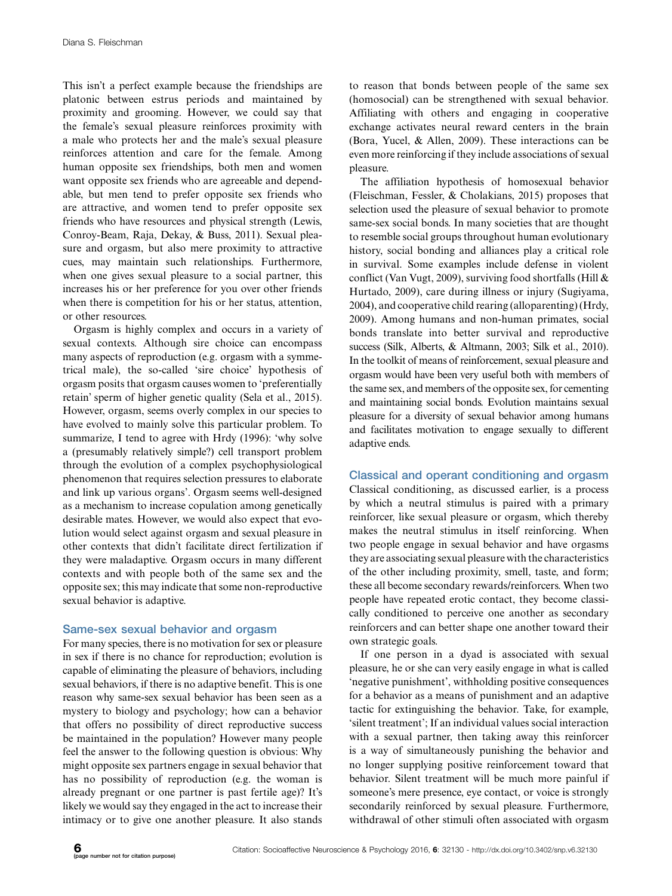This isn't a perfect example because the friendships are platonic between estrus periods and maintained by proximity and grooming. However, we could say that the female's sexual pleasure reinforces proximity with a male who protects her and the male's sexual pleasure reinforces attention and care for the female. Among human opposite sex friendships, both men and women want opposite sex friends who are agreeable and dependable, but men tend to prefer opposite sex friends who are attractive, and women tend to prefer opposite sex friends who have resources and physical strength (Lewis, Conroy-Beam, Raja, Dekay, & Buss, 2011). Sexual pleasure and orgasm, but also mere proximity to attractive cues, may maintain such relationships. Furthermore, when one gives sexual pleasure to a social partner, this increases his or her preference for you over other friends when there is competition for his or her status, attention, or other resources.

Orgasm is highly complex and occurs in a variety of sexual contexts. Although sire choice can encompass many aspects of reproduction (e.g. orgasm with a symmetrical male), the so-called 'sire choice' hypothesis of orgasm posits that orgasm causes women to 'preferentially retain' sperm of higher genetic quality (Sela et al., 2015). However, orgasm, seems overly complex in our species to have evolved to mainly solve this particular problem. To summarize, I tend to agree with Hrdy (1996): 'why solve a (presumably relatively simple?) cell transport problem through the evolution of a complex psychophysiological phenomenon that requires selection pressures to elaborate and link up various organs'. Orgasm seems well-designed as a mechanism to increase copulation among genetically desirable mates. However, we would also expect that evolution would select against orgasm and sexual pleasure in other contexts that didn't facilitate direct fertilization if they were maladaptive. Orgasm occurs in many different contexts and with people both of the same sex and the opposite sex; this may indicate that some non-reproductive sexual behavior is adaptive.

# Same-sex sexual behavior and orgasm

For many species, there is no motivation for sex or pleasure in sex if there is no chance for reproduction; evolution is capable of eliminating the pleasure of behaviors, including sexual behaviors, if there is no adaptive benefit. This is one reason why same-sex sexual behavior has been seen as a mystery to biology and psychology; how can a behavior that offers no possibility of direct reproductive success be maintained in the population? However many people feel the answer to the following question is obvious: Why might opposite sex partners engage in sexual behavior that has no possibility of reproduction (e.g. the woman is already pregnant or one partner is past fertile age)? It's likely we would say they engaged in the act to increase their intimacy or to give one another pleasure. It also stands to reason that bonds between people of the same sex (homosocial) can be strengthened with sexual behavior. Affiliating with others and engaging in cooperative exchange activates neural reward centers in the brain (Bora, Yucel, & Allen, 2009). These interactions can be even more reinforcing if they include associations of sexual pleasure.

The affiliation hypothesis of homosexual behavior (Fleischman, Fessler, & Cholakians, 2015) proposes that selection used the pleasure of sexual behavior to promote same-sex social bonds. In many societies that are thought to resemble social groups throughout human evolutionary history, social bonding and alliances play a critical role in survival. Some examples include defense in violent conflict (Van Vugt, 2009), surviving food shortfalls (Hill & Hurtado, 2009), care during illness or injury (Sugiyama, 2004), and cooperative child rearing (alloparenting) (Hrdy, 2009). Among humans and non-human primates, social bonds translate into better survival and reproductive success (Silk, Alberts, & Altmann, 2003; Silk et al., 2010). In the toolkit of means of reinforcement, sexual pleasure and orgasm would have been very useful both with members of the same sex, and members of the opposite sex, for cementing and maintaining social bonds. Evolution maintains sexual pleasure for a diversity of sexual behavior among humans and facilitates motivation to engage sexually to different adaptive ends.

# Classical and operant conditioning and orgasm

Classical conditioning, as discussed earlier, is a process by which a neutral stimulus is paired with a primary reinforcer, like sexual pleasure or orgasm, which thereby makes the neutral stimulus in itself reinforcing. When two people engage in sexual behavior and have orgasms they are associating sexual pleasure with the characteristics of the other including proximity, smell, taste, and form; these all become secondary rewards/reinforcers. When two people have repeated erotic contact, they become classically conditioned to perceive one another as secondary reinforcers and can better shape one another toward their own strategic goals.

If one person in a dyad is associated with sexual pleasure, he or she can very easily engage in what is called 'negative punishment', withholding positive consequences for a behavior as a means of punishment and an adaptive tactic for extinguishing the behavior. Take, for example, 'silent treatment'; If an individual values social interaction with a sexual partner, then taking away this reinforcer is a way of simultaneously punishing the behavior and no longer supplying positive reinforcement toward that behavior. Silent treatment will be much more painful if someone's mere presence, eye contact, or voice is strongly secondarily reinforced by sexual pleasure. Furthermore, withdrawal of other stimuli often associated with orgasm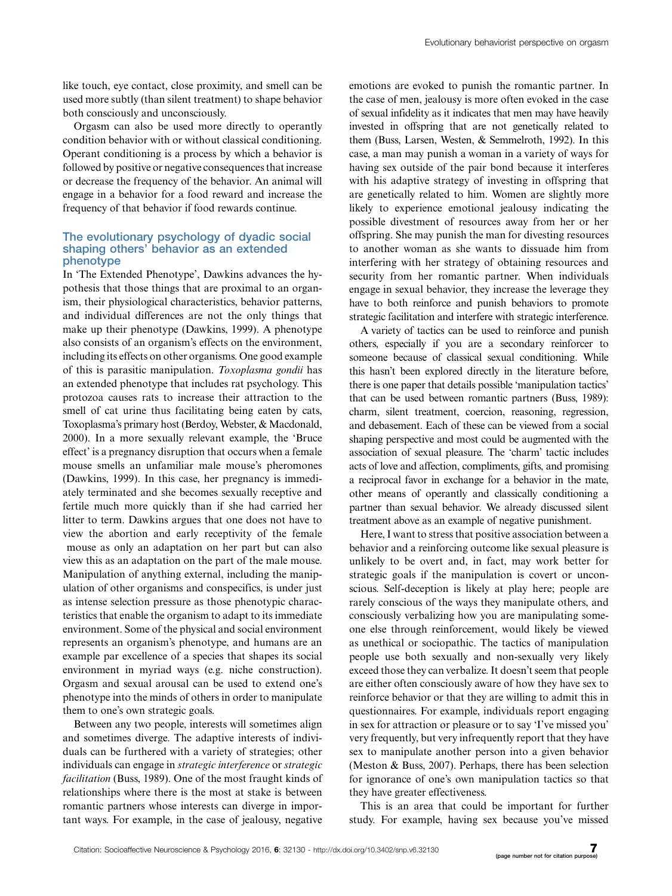like touch, eye contact, close proximity, and smell can be used more subtly (than silent treatment) to shape behavior both consciously and unconsciously.

Orgasm can also be used more directly to operantly condition behavior with or without classical conditioning. Operant conditioning is a process by which a behavior is followed by positive or negative consequences that increase or decrease the frequency of the behavior. An animal will engage in a behavior for a food reward and increase the frequency of that behavior if food rewards continue.

## The evolutionary psychology of dyadic social shaping others' behavior as an extended phenotype

In 'The Extended Phenotype', Dawkins advances the hypothesis that those things that are proximal to an organism, their physiological characteristics, behavior patterns, and individual differences are not the only things that make up their phenotype (Dawkins, 1999). A phenotype also consists of an organism's effects on the environment, including its effects on other organisms. One good example of this is parasitic manipulation. Toxoplasma gondii has an extended phenotype that includes rat psychology. This protozoa causes rats to increase their attraction to the smell of cat urine thus facilitating being eaten by cats, Toxoplasma's primary host (Berdoy, Webster, & Macdonald, 2000). In a more sexually relevant example, the 'Bruce effect' is a pregnancy disruption that occurs when a female mouse smells an unfamiliar male mouse's pheromones (Dawkins, 1999). In this case, her pregnancy is immediately terminated and she becomes sexually receptive and fertile much more quickly than if she had carried her litter to term. Dawkins argues that one does not have to view the abortion and early receptivity of the female mouse as only an adaptation on her part but can also view this as an adaptation on the part of the male mouse. Manipulation of anything external, including the manipulation of other organisms and conspecifics, is under just as intense selection pressure as those phenotypic characteristics that enable the organism to adapt to its immediate environment. Some of the physical and social environment represents an organism's phenotype, and humans are an example par excellence of a species that shapes its social environment in myriad ways (e.g. niche construction). Orgasm and sexual arousal can be used to extend one's phenotype into the minds of others in order to manipulate them to one's own strategic goals.

Between any two people, interests will sometimes align and sometimes diverge. The adaptive interests of individuals can be furthered with a variety of strategies; other individuals can engage in strategic interference or strategic facilitation (Buss, 1989). One of the most fraught kinds of relationships where there is the most at stake is between romantic partners whose interests can diverge in important ways. For example, in the case of jealousy, negative

emotions are evoked to punish the romantic partner. In the case of men, jealousy is more often evoked in the case of sexual infidelity as it indicates that men may have heavily invested in offspring that are not genetically related to them (Buss, Larsen, Westen, & Semmelroth, 1992). In this case, a man may punish a woman in a variety of ways for having sex outside of the pair bond because it interferes with his adaptive strategy of investing in offspring that are genetically related to him. Women are slightly more likely to experience emotional jealousy indicating the possible divestment of resources away from her or her offspring. She may punish the man for divesting resources to another woman as she wants to dissuade him from interfering with her strategy of obtaining resources and security from her romantic partner. When individuals engage in sexual behavior, they increase the leverage they have to both reinforce and punish behaviors to promote strategic facilitation and interfere with strategic interference.

A variety of tactics can be used to reinforce and punish others, especially if you are a secondary reinforcer to someone because of classical sexual conditioning. While this hasn't been explored directly in the literature before, there is one paper that details possible 'manipulation tactics' that can be used between romantic partners (Buss, 1989): charm, silent treatment, coercion, reasoning, regression, and debasement. Each of these can be viewed from a social shaping perspective and most could be augmented with the association of sexual pleasure. The 'charm' tactic includes acts of love and affection, compliments, gifts, and promising a reciprocal favor in exchange for a behavior in the mate, other means of operantly and classically conditioning a partner than sexual behavior. We already discussed silent treatment above as an example of negative punishment.

Here, I want to stress that positive association between a behavior and a reinforcing outcome like sexual pleasure is unlikely to be overt and, in fact, may work better for strategic goals if the manipulation is covert or unconscious. Self-deception is likely at play here; people are rarely conscious of the ways they manipulate others, and consciously verbalizing how you are manipulating someone else through reinforcement, would likely be viewed as unethical or sociopathic. The tactics of manipulation people use both sexually and non-sexually very likely exceed those they can verbalize. It doesn't seem that people are either often consciously aware of how they have sex to reinforce behavior or that they are willing to admit this in questionnaires. For example, individuals report engaging in sex for attraction or pleasure or to say 'I've missed you' very frequently, but very infrequently report that they have sex to manipulate another person into a given behavior (Meston & Buss, 2007). Perhaps, there has been selection for ignorance of one's own manipulation tactics so that they have greater effectiveness.

This is an area that could be important for further study. For example, having sex because you've missed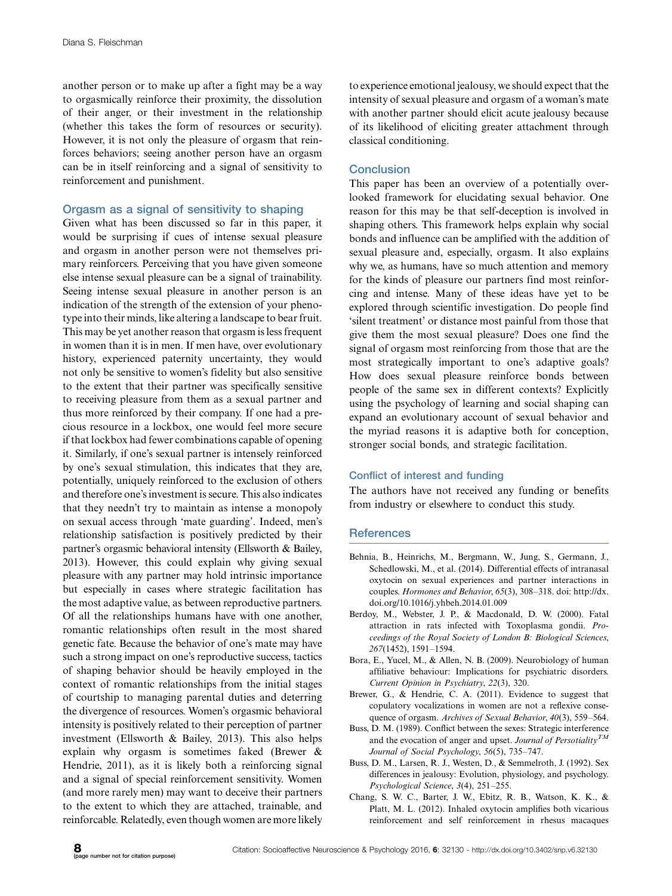another person or to make up after a fight may be a way to orgasmically reinforce their proximity, the dissolution of their anger, or their investment in the relationship (whether this takes the form of resources or security). However, it is not only the pleasure of orgasm that reinforces behaviors; seeing another person have an orgasm can be in itself reinforcing and a signal of sensitivity to reinforcement and punishment.

# Orgasm as a signal of sensitivity to shaping

Given what has been discussed so far in this paper, it would be surprising if cues of intense sexual pleasure and orgasm in another person were not themselves primary reinforcers. Perceiving that you have given someone else intense sexual pleasure can be a signal of trainability. Seeing intense sexual pleasure in another person is an indication of the strength of the extension of your phenotype into their minds, like altering a landscape to bear fruit. This may be yet another reason that orgasm is less frequent in women than it is in men. If men have, over evolutionary history, experienced paternity uncertainty, they would not only be sensitive to women's fidelity but also sensitive to the extent that their partner was specifically sensitive to receiving pleasure from them as a sexual partner and thus more reinforced by their company. If one had a precious resource in a lockbox, one would feel more secure if that lockbox had fewer combinations capable of opening it. Similarly, if one's sexual partner is intensely reinforced by one's sexual stimulation, this indicates that they are, potentially, uniquely reinforced to the exclusion of others and therefore one's investment is secure. This also indicates that they needn't try to maintain as intense a monopoly on sexual access through 'mate guarding'. Indeed, men's relationship satisfaction is positively predicted by their partner's orgasmic behavioral intensity (Ellsworth & Bailey, 2013). However, this could explain why giving sexual pleasure with any partner may hold intrinsic importance but especially in cases where strategic facilitation has the most adaptive value, as between reproductive partners. Of all the relationships humans have with one another, romantic relationships often result in the most shared genetic fate. Because the behavior of one's mate may have such a strong impact on one's reproductive success, tactics of shaping behavior should be heavily employed in the context of romantic relationships from the initial stages of courtship to managing parental duties and deterring the divergence of resources. Women's orgasmic behavioral intensity is positively related to their perception of partner investment (Ellsworth & Bailey, 2013). This also helps explain why orgasm is sometimes faked (Brewer & Hendrie, 2011), as it is likely both a reinforcing signal and a signal of special reinforcement sensitivity. Women (and more rarely men) may want to deceive their partners to the extent to which they are attached, trainable, and reinforcable. Relatedly, even though women are more likely

to experience emotional jealousy, we should expect that the intensity of sexual pleasure and orgasm of a woman's mate with another partner should elicit acute jealousy because of its likelihood of eliciting greater attachment through classical conditioning.

# **Conclusion**

This paper has been an overview of a potentially overlooked framework for elucidating sexual behavior. One reason for this may be that self-deception is involved in shaping others. This framework helps explain why social bonds and influence can be amplified with the addition of sexual pleasure and, especially, orgasm. It also explains why we, as humans, have so much attention and memory for the kinds of pleasure our partners find most reinforcing and intense. Many of these ideas have yet to be explored through scientific investigation. Do people find 'silent treatment' or distance most painful from those that give them the most sexual pleasure? Does one find the signal of orgasm most reinforcing from those that are the most strategically important to one's adaptive goals? How does sexual pleasure reinforce bonds between people of the same sex in different contexts? Explicitly using the psychology of learning and social shaping can expand an evolutionary account of sexual behavior and the myriad reasons it is adaptive both for conception, stronger social bonds, and strategic facilitation.

# Conflict of interest and funding

The authors have not received any funding or benefits from industry or elsewhere to conduct this study.

# **References**

- Behnia, B., Heinrichs, M., Bergmann, W., Jung, S., Germann, J., Schedlowski, M., et al. (2014). Differential effects of intranasal oxytocin on sexual experiences and partner interactions in couples. Hormones and Behavior, 65(3), 308-318. doi: [http://dx.](http://dx.doi.org/10.1016/j.yhbeh.2014.01.009) [doi.org/10.1016/j.yhbeh.2014.01.009](http://dx.doi.org/10.1016/j.yhbeh.2014.01.009)
- Berdoy, M., Webster, J. P., & Macdonald, D. W. (2000). Fatal attraction in rats infected with Toxoplasma gondii. Proceedings of the Royal Society of London B: Biological Sciences, 267(1452), 1591-1594.
- Bora, E., Yucel, M., & Allen, N. B. (2009). Neurobiology of human affiliative behaviour: Implications for psychiatric disorders. Current Opinion in Psychiatry, 22(3), 320.
- Brewer, G., & Hendrie, C. A. (2011). Evidence to suggest that copulatory vocalizations in women are not a reflexive consequence of orgasm. Archives of Sexual Behavior, 40(3), 559-564.
- Buss, D. M. (1989). Conflict between the sexes: Strategic interference and the evocation of anger and upset. Journal of Persotiality<sup>TM</sup> Journal of Social Psychology, 56(5), 735-747.
- Buss, D. M., Larsen, R. J., Westen, D., & Semmelroth, J. (1992). Sex differences in jealousy: Evolution, physiology, and psychology. Psychological Science, 3(4), 251-255.
- Chang, S. W. C., Barter, J. W., Ebitz, R. B., Watson, K. K., & Platt, M. L. (2012). Inhaled oxytocin amplifies both vicarious reinforcement and self reinforcement in rhesus macaques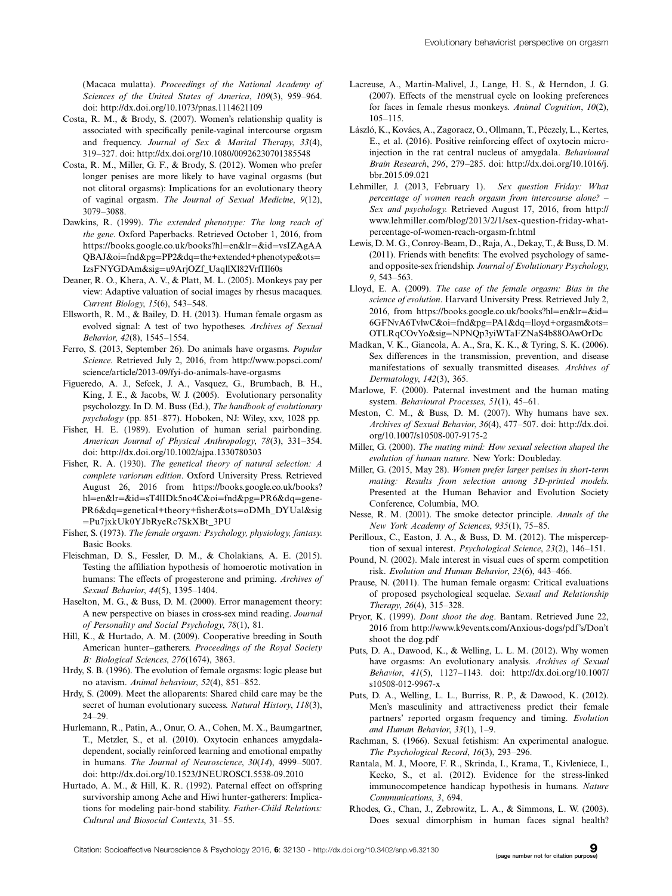(Macaca mulatta). Proceedings of the National Academy of Sciences of the United States of America, 109(3), 959-964. doi:<http://dx.doi.org/10.1073/pnas.1114621109>

- Costa, R. M., & Brody, S. (2007). Women's relationship quality is associated with specifically penile-vaginal intercourse orgasm and frequency. Journal of Sex & Marital Therapy, 33(4), 319-327. doi:<http://dx.doi.org/10.1080/00926230701385548>
- Costa, R. M., Miller, G. F., & Brody, S. (2012). Women who prefer longer penises are more likely to have vaginal orgasms (but not clitoral orgasms): Implications for an evolutionary theory of vaginal orgasm. The Journal of Sexual Medicine, 9(12), 3079-3088.
- Dawkins, R. (1999). The extended phenotype: The long reach of the gene. Oxford Paperbacks. Retrieved October 1, 2016, from [https://books.google.co.uk/books?h](https://books.google.co.uk/books?hl=en&lr=&id=vsIZAgAAQBAJ&oi=fnd&pg=PP2&dq=the+extended+phenotype&ots=IzsFNYGDAm&sig=u9ArjOZf_UaqllXl82VrfIIl60s)l=[en&lr](https://books.google.co.uk/books?hl=en&lr=&id=vsIZAgAAQBAJ&oi=fnd&pg=PP2&dq=the+extended+phenotype&ots=IzsFNYGDAm&sig=u9ArjOZf_UaqllXl82VrfIIl60s)=[&id](https://books.google.co.uk/books?hl=en&lr=&id=vsIZAgAAQBAJ&oi=fnd&pg=PP2&dq=the+extended+phenotype&ots=IzsFNYGDAm&sig=u9ArjOZf_UaqllXl82VrfIIl60s)=[vsIZAgAA](https://books.google.co.uk/books?hl=en&lr=&id=vsIZAgAAQBAJ&oi=fnd&pg=PP2&dq=the+extended+phenotype&ots=IzsFNYGDAm&sig=u9ArjOZf_UaqllXl82VrfIIl60s) [QBAJ&oi](https://books.google.co.uk/books?hl=en&lr=&id=vsIZAgAAQBAJ&oi=fnd&pg=PP2&dq=the+extended+phenotype&ots=IzsFNYGDAm&sig=u9ArjOZf_UaqllXl82VrfIIl60s)=[fnd&pg](https://books.google.co.uk/books?hl=en&lr=&id=vsIZAgAAQBAJ&oi=fnd&pg=PP2&dq=the+extended+phenotype&ots=IzsFNYGDAm&sig=u9ArjOZf_UaqllXl82VrfIIl60s)=[PP2&dq](https://books.google.co.uk/books?hl=en&lr=&id=vsIZAgAAQBAJ&oi=fnd&pg=PP2&dq=the+extended+phenotype&ots=IzsFNYGDAm&sig=u9ArjOZf_UaqllXl82VrfIIl60s)=[the+extended+phenotype&ots](https://books.google.co.uk/books?hl=en&lr=&id=vsIZAgAAQBAJ&oi=fnd&pg=PP2&dq=the+extended+phenotype&ots=IzsFNYGDAm&sig=u9ArjOZf_UaqllXl82VrfIIl60s)= [IzsFNYGDAm&sig](https://books.google.co.uk/books?hl=en&lr=&id=vsIZAgAAQBAJ&oi=fnd&pg=PP2&dq=the+extended+phenotype&ots=IzsFNYGDAm&sig=u9ArjOZf_UaqllXl82VrfIIl60s)=[u9ArjOZf\\_UaqllXl82VrfIIl60s](https://books.google.co.uk/books?hl=en&lr=&id=vsIZAgAAQBAJ&oi=fnd&pg=PP2&dq=the+extended+phenotype&ots=IzsFNYGDAm&sig=u9ArjOZf_UaqllXl82VrfIIl60s)
- Deaner, R. O., Khera, A. V., & Platt, M. L. (2005). Monkeys pay per view: Adaptive valuation of social images by rhesus macaques. Current Biology, 15(6), 543-548.
- Ellsworth, R. M., & Bailey, D. H. (2013). Human female orgasm as evolved signal: A test of two hypotheses. Archives of Sexual Behavior, 42(8), 1545-1554.
- Ferro, S. (2013, September 26). Do animals have orgasms. Popular Science. Retrieved July 2, 2016, from [http://www.popsci.com/](http://www.popsci.com/science/article/2013-09/fyi-do-animals-have-orgasms) [science/article/2013-09/fyi-do-animals-have-orgasms](http://www.popsci.com/science/article/2013-09/fyi-do-animals-have-orgasms)
- Figueredo, A. J., Sefcek, J. A., Vasquez, G., Brumbach, B. H., King, J. E., & Jacobs, W. J. (2005). Evolutionary personality psycholozgy. In D. M. Buss (Ed.), The handbook of evolutionary psychology (pp. 851-877). Hoboken, NJ: Wiley, xxv, 1028 pp.
- Fisher, H. E. (1989). Evolution of human serial pairbonding. American Journal of Physical Anthropology, 78(3), 331-354. doi:<http://dx.doi.org/10.1002/ajpa.1330780303>
- Fisher, R. A. (1930). The genetical theory of natural selection: A complete variorum edition. Oxford University Press. Retrieved August 26, 2016 from [https://books.google.co.uk/books?](https://books.google.co.uk/books?hl=en&lr=&id=sT4lIDk5no4C&oi=fnd&pg=PR6&dq=genetical+theory+fisher&ots=oDMh_DYUal&sig=Pu7jxkUk0YJbRyeRc7SkXBt_3PU) [hl](https://books.google.co.uk/books?hl=en&lr=&id=sT4lIDk5no4C&oi=fnd&pg=PR6&dq=genetical+theory+fisher&ots=oDMh_DYUal&sig=Pu7jxkUk0YJbRyeRc7SkXBt_3PU)=[en&lr](https://books.google.co.uk/books?hl=en&lr=&id=sT4lIDk5no4C&oi=fnd&pg=PR6&dq=genetical+theory+fisher&ots=oDMh_DYUal&sig=Pu7jxkUk0YJbRyeRc7SkXBt_3PU)=[&id](https://books.google.co.uk/books?hl=en&lr=&id=sT4lIDk5no4C&oi=fnd&pg=PR6&dq=genetical+theory+fisher&ots=oDMh_DYUal&sig=Pu7jxkUk0YJbRyeRc7SkXBt_3PU)=[sT4lIDk5no4C&oi](https://books.google.co.uk/books?hl=en&lr=&id=sT4lIDk5no4C&oi=fnd&pg=PR6&dq=genetical+theory+fisher&ots=oDMh_DYUal&sig=Pu7jxkUk0YJbRyeRc7SkXBt_3PU)=[fnd&pg](https://books.google.co.uk/books?hl=en&lr=&id=sT4lIDk5no4C&oi=fnd&pg=PR6&dq=genetical+theory+fisher&ots=oDMh_DYUal&sig=Pu7jxkUk0YJbRyeRc7SkXBt_3PU)=[PR6&dq](https://books.google.co.uk/books?hl=en&lr=&id=sT4lIDk5no4C&oi=fnd&pg=PR6&dq=genetical+theory+fisher&ots=oDMh_DYUal&sig=Pu7jxkUk0YJbRyeRc7SkXBt_3PU)=[gene-](https://books.google.co.uk/books?hl=en&lr=&id=sT4lIDk5no4C&oi=fnd&pg=PR6&dq=genetical+theory+fisher&ots=oDMh_DYUal&sig=Pu7jxkUk0YJbRyeRc7SkXBt_3PU)[PR6&dq](https://books.google.co.uk/books?hl=en&lr=&id=sT4lIDk5no4C&oi=fnd&pg=PR6&dq=genetical+theory+fisher&ots=oDMh_DYUal&sig=Pu7jxkUk0YJbRyeRc7SkXBt_3PU)=[genetical+theory+fisher&ots](https://books.google.co.uk/books?hl=en&lr=&id=sT4lIDk5no4C&oi=fnd&pg=PR6&dq=genetical+theory+fisher&ots=oDMh_DYUal&sig=Pu7jxkUk0YJbRyeRc7SkXBt_3PU)=[oDMh\\_DYUal&sig](https://books.google.co.uk/books?hl=en&lr=&id=sT4lIDk5no4C&oi=fnd&pg=PR6&dq=genetical+theory+fisher&ots=oDMh_DYUal&sig=Pu7jxkUk0YJbRyeRc7SkXBt_3PU) [Pu7jxkUk0YJbRyeRc7SkXBt\\_3PU](https://books.google.co.uk/books?hl=en&lr=&id=sT4lIDk5no4C&oi=fnd&pg=PR6&dq=genetical+theory+fisher&ots=oDMh_DYUal&sig=Pu7jxkUk0YJbRyeRc7SkXBt_3PU)
- Fisher, S. (1973). The female orgasm: Psychology, physiology, fantasy. Basic Books.
- Fleischman, D. S., Fessler, D. M., & Cholakians, A. E. (2015). Testing the affiliation hypothesis of homoerotic motivation in humans: The effects of progesterone and priming. Archives of Sexual Behavior, 44(5), 1395-1404.
- Haselton, M. G., & Buss, D. M. (2000). Error management theory: A new perspective on biases in cross-sex mind reading. Journal of Personality and Social Psychology, 78(1), 81.
- Hill, K., & Hurtado, A. M. (2009). Cooperative breeding in South American hunter-gatherers. Proceedings of the Royal Society B: Biological Sciences, 276(1674), 3863.
- Hrdy, S. B. (1996). The evolution of female orgasms: logic please but no atavism. Animal behaviour, 52(4), 851-852.
- Hrdy, S. (2009). Meet the alloparents: Shared child care may be the secret of human evolutionary success. Natural History, 118(3), 24-29.
- Hurlemann, R., Patin, A., Onur, O. A., Cohen, M. X., Baumgartner, T., Metzler, S., et al. (2010). Oxytocin enhances amygdaladependent, socially reinforced learning and emotional empathy in humans. The Journal of Neuroscience, 30(14), 4999-5007. doi:<http://dx.doi.org/10.1523/JNEUROSCI.5538-09.2010>
- Hurtado, A. M., & Hill, K. R. (1992). Paternal effect on offspring survivorship among Ache and Hiwi hunter-gatherers: Implications for modeling pair-bond stability. Father-Child Relations: Cultural and Biosocial Contexts, 31-55.
- Lacreuse, A., Martin-Malivel, J., Lange, H. S., & Herndon, J. G. (2007). Effects of the menstrual cycle on looking preferences for faces in female rhesus monkeys. Animal Cognition, 10(2), 105-115.
- László, K., Kovács, A., Zagoracz, O., Ollmann, T., Péczely, L., Kertes, E., et al. (2016). Positive reinforcing effect of oxytocin microinjection in the rat central nucleus of amygdala. Behavioural Brain Research, 296, 279-285. doi: [http://dx.doi.org/10.1016/j.](http://dx.doi.org/10.1016/j.bbr.2015.09.021) [bbr.2015.09.021](http://dx.doi.org/10.1016/j.bbr.2015.09.021)
- Lehmiller, J. (2013, February 1). Sex question Friday: What percentage of women reach orgasm from intercourse alone? -Sex and psychology. Retrieved August 17, 2016, from [http://](http://www.lehmiller.com/blog/2013/2/1/sex-question-friday-what-percentage-of-women-reach-orgasm-fr.html) [www.lehmiller.com/blog/2013/2/1/sex-question-friday-what](http://www.lehmiller.com/blog/2013/2/1/sex-question-friday-what-percentage-of-women-reach-orgasm-fr.html)[percentage-of-women-reach-orgasm-fr.html](http://www.lehmiller.com/blog/2013/2/1/sex-question-friday-what-percentage-of-women-reach-orgasm-fr.html)
- Lewis, D. M. G., Conroy-Beam, D., Raja, A., Dekay, T., & Buss, D. M. (2011). Friends with benefits: The evolved psychology of sameand opposite-sex friendship. Journal of Evolutionary Psychology, 9, 543-563.
- Lloyd, E. A. (2009). The case of the female orgasm: Bias in the science of evolution. Harvard University Press. Retrieved July 2, 2016, from [https://books.google.co.uk/books?h](https://books.google.co.uk/books?hl=en&lr=&id=6GFNvA6TvlwC&oi=fnd&pg=PA1&dq=lloyd+orgasm&ots=OTLRqCOvYo&sig=NPNQp3yiWTaFZNaS4b88OAwOrDc)l=[en&lr](https://books.google.co.uk/books?hl=en&lr=&id=6GFNvA6TvlwC&oi=fnd&pg=PA1&dq=lloyd+orgasm&ots=OTLRqCOvYo&sig=NPNQp3yiWTaFZNaS4b88OAwOrDc)=[&id](https://books.google.co.uk/books?hl=en&lr=&id=6GFNvA6TvlwC&oi=fnd&pg=PA1&dq=lloyd+orgasm&ots=OTLRqCOvYo&sig=NPNQp3yiWTaFZNaS4b88OAwOrDc)= [6GFNvA6TvlwC&oi](https://books.google.co.uk/books?hl=en&lr=&id=6GFNvA6TvlwC&oi=fnd&pg=PA1&dq=lloyd+orgasm&ots=OTLRqCOvYo&sig=NPNQp3yiWTaFZNaS4b88OAwOrDc)=[fnd&pg](https://books.google.co.uk/books?hl=en&lr=&id=6GFNvA6TvlwC&oi=fnd&pg=PA1&dq=lloyd+orgasm&ots=OTLRqCOvYo&sig=NPNQp3yiWTaFZNaS4b88OAwOrDc)=[PA1&dq](https://books.google.co.uk/books?hl=en&lr=&id=6GFNvA6TvlwC&oi=fnd&pg=PA1&dq=lloyd+orgasm&ots=OTLRqCOvYo&sig=NPNQp3yiWTaFZNaS4b88OAwOrDc)=[lloyd+orgasm&ots](https://books.google.co.uk/books?hl=en&lr=&id=6GFNvA6TvlwC&oi=fnd&pg=PA1&dq=lloyd+orgasm&ots=OTLRqCOvYo&sig=NPNQp3yiWTaFZNaS4b88OAwOrDc)= [OTLRqCOvYo&sig](https://books.google.co.uk/books?hl=en&lr=&id=6GFNvA6TvlwC&oi=fnd&pg=PA1&dq=lloyd+orgasm&ots=OTLRqCOvYo&sig=NPNQp3yiWTaFZNaS4b88OAwOrDc)=[NPNQp3yiWTaFZNaS4b88OAwOrDc](https://books.google.co.uk/books?hl=en&lr=&id=6GFNvA6TvlwC&oi=fnd&pg=PA1&dq=lloyd+orgasm&ots=OTLRqCOvYo&sig=NPNQp3yiWTaFZNaS4b88OAwOrDc)
- Madkan, V. K., Giancola, A. A., Sra, K. K., & Tyring, S. K. (2006). Sex differences in the transmission, prevention, and disease manifestations of sexually transmitted diseases. Archives of Dermatology, 142(3), 365.
- Marlowe, F. (2000). Paternal investment and the human mating system. Behavioural Processes, 51(1), 45-61.
- Meston, C. M., & Buss, D. M. (2007). Why humans have sex. Archives of Sexual Behavior, 36(4), 477-507. doi: [http://dx.doi.](http://dx.doi.org/10.1007/s10508-007-9175-2) [org/10.1007/s10508-007-9175-2](http://dx.doi.org/10.1007/s10508-007-9175-2)
- Miller, G. (2000). The mating mind: How sexual selection shaped the evolution of human nature. New York: Doubleday.
- Miller, G. (2015, May 28). Women prefer larger penises in short-term mating: Results from selection among 3D-printed models. Presented at the Human Behavior and Evolution Society Conference, Columbia, MO.
- Nesse, R. M. (2001). The smoke detector principle. Annals of the New York Academy of Sciences, 935(1), 75-85.
- Perilloux, C., Easton, J. A., & Buss, D. M. (2012). The misperception of sexual interest. *Psychological Science*, 23(2), 146-151.
- Pound, N. (2002). Male interest in visual cues of sperm competition risk. Evolution and Human Behavior, 23(6), 443-466.
- Prause, N. (2011). The human female orgasm: Critical evaluations of proposed psychological sequelae. Sexual and Relationship Therapy, 26(4), 315-328.
- Pryor, K. (1999). Dont shoot the dog. Bantam. Retrieved June 22, 2016 from [http://www.k9events.com/Anxious-dogs/pdf's/Don't](http://www.k9events.com/Anxious-dogs/pdf) [shoot the dog.pdf](http://www.k9events.com/Anxious-dogs/pdf)
- Puts, D. A., Dawood, K., & Welling, L. L. M. (2012). Why women have orgasms: An evolutionary analysis. Archives of Sexual Behavior, 41(5), 1127-1143. doi: [http://dx.doi.org/10.1007/](http://dx.doi.org/10.1007/s10508-012-9967-x) [s10508-012-9967-x](http://dx.doi.org/10.1007/s10508-012-9967-x)
- Puts, D. A., Welling, L. L., Burriss, R. P., & Dawood, K. (2012). Men's masculinity and attractiveness predict their female partners' reported orgasm frequency and timing. Evolution and Human Behavior, 33(1), 1-9.
- Rachman, S. (1966). Sexual fetishism: An experimental analogue. The Psychological Record, 16(3), 293-296.
- Rantala, M. J., Moore, F. R., Skrinda, I., Krama, T., Kivleniece, I., Kecko, S., et al. (2012). Evidence for the stress-linked immunocompetence handicap hypothesis in humans. Nature Communications, 3, 694.
- Rhodes, G., Chan, J., Zebrowitz, L. A., & Simmons, L. W. (2003). Does sexual dimorphism in human faces signal health?